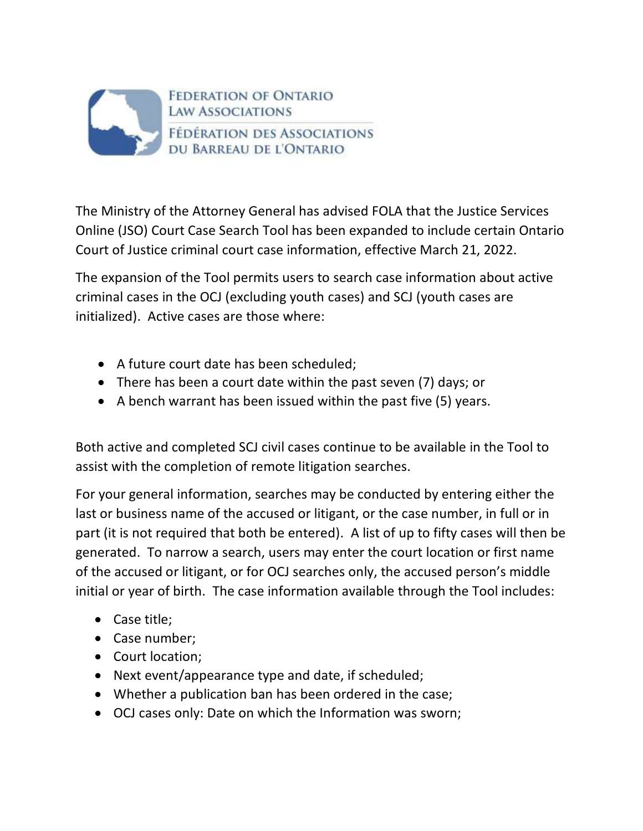

The Ministry of the Attorney General has advised FOLA that the Justice Services Online (JSO) Court Case Search Tool has been expanded to include certain Ontario Court of Justice criminal court case information, effective March 21, 2022.

The expansion of the Tool permits users to search case information about active criminal cases in the OCJ (excluding youth cases) and SCJ (youth cases are initialized). Active cases are those where:

- A future court date has been scheduled;
- There has been a court date within the past seven (7) days; or
- A bench warrant has been issued within the past five (5) years.

Both active and completed SCJ civil cases continue to be available in the Tool to assist with the completion of remote litigation searches.

For your general information, searches may be conducted by entering either the last or business name of the accused or litigant, or the case number, in full or in part (it is not required that both be entered). A list of up to fifty cases will then be generated. To narrow a search, users may enter the court location or first name of the accused or litigant, or for OCJ searches only, the accused person's middle initial or year of birth. The case information available through the Tool includes:

- Case title;
- Case number;
- Court location;
- Next event/appearance type and date, if scheduled;
- Whether a publication ban has been ordered in the case;
- OCJ cases only: Date on which the Information was sworn;